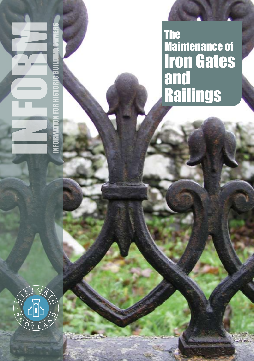The Maintenance of Iron Gates and **Railings** 

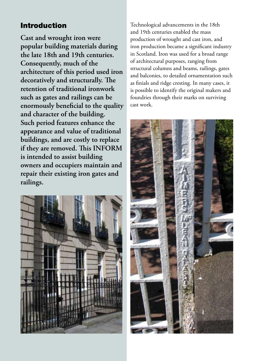# Introduction

**Cast and wrought iron were popular building materials during the late 18th and 19th centuries. Consequently, much of the architecture of this period used iron decoratively and structurally. The retention of traditional ironwork such as gates and railings can be enormously beneficial to the quality and character of the building. Such period features enhance the appearance and value of traditional buildings, and are costly to replace if they are removed. This INFORM is intended to assist building owners and occupiers maintain and repair their existing iron gates and railings.** 



Technological advancements in the 18th and 19th centuries enabled the mass production of wrought and cast iron, and iron production became a significant industry in Scotland. Iron was used for a broad range of architectural purposes, ranging from structural columns and beams, railings, gates and balconies, to detailed ornamentation such as finials and ridge cresting. In many cases, it is possible to identify the original makers and foundries through their marks on surviving cast work.

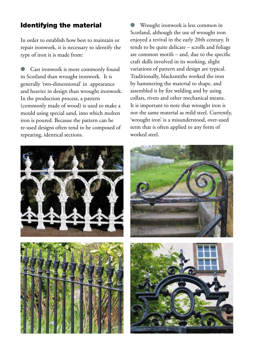### Identifying the material

In order to establish how best to maintain or repair ironwork, it is necessary to identify the type of iron it is made from:

Cast ironwork is more commonly found in Scotland than wrought ironwork. It is generally 'two-dimensional' in appearance and heavier in design than wrought ironwork. In the production process, a pattern (commonly made of wood) is used to make a mould using special sand, into which molten iron is poured. Because the pattern can be re-used designs often tend to be composed of repeating, identical sections.

Wrought ironwork is less common in Scotland, although the use of wrought iron enjoyed a revival in the early 20th century. It tends to be quite delicate – scrolls and foliage are common motifs – and, due to the specific craft skills involved in its working, slight variations of pattern and design are typical. Traditionally, blacksmiths worked the iron by hammering the material to shape, and assembled it by fire welding and by using collars, rivets and other mechanical means. It is important to note that wrought iron is not the same material as mild steel. Currently, 'wrought iron' is a misunderstood, over-used term that is often applied to any form of worked steel.





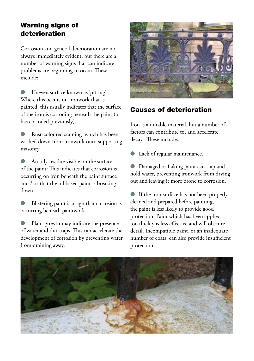## Warning signs of deterioration

Corrosion and general deterioration are not always immediately evident, but there are a number of warning signs that can indicate problems are beginning to occur. These include:

**I** Uneven surface known as 'pitting': Where this occurs on ironwork that is painted, this usually indicates that the surface of the iron is corroding beneath the paint (or has corroded previously).

Rust-coloured staining which has been washed down from ironwork onto supporting masonry.

An oily residue visible on the surface of the paint: This indicates that corrosion is occurring on iron beneath the paint surface and / or that the oil based paint is breaking down.

l Blistering paint is a sign that corrosion is occurring beneath paintwork.

Plant growth may indicate the presence of water and dirt traps. This can accelerate the development of corrosion by preventing water from draining away.



## Causes of deterioration

Iron is a durable material, but a number of factors can contribute to, and accelerate, decay. These include:

Lack of regular maintenance.

**I** Damaged or flaking paint can trap and hold water, preventing ironwork from drying out and leaving it more prone to corrosion.

l If the iron surface has not been properly cleaned and prepared before painting, the paint is less likely to provide good protection. Paint which has been applied too thickly is less effective and will obscure detail. Incompatible paint, or an inadequate number of coats, can also provide insufficient protection.

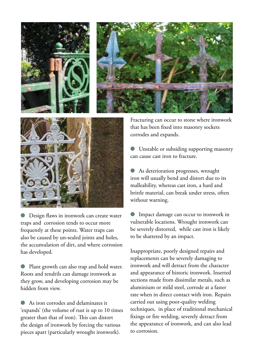



Design flaws in ironwork can create water traps and corrosion tends to occur more frequently at these points. Water traps can also be caused by un-sealed joints and holes, the accumulation of dirt, and where corrosion has developed.

l Plant growth can also trap and hold water. Roots and tendrils can damage ironwork as they grow, and developing corrosion may be hidden from view.

l As iron corrodes and delaminates it 'expands' (the volume of rust is up to 10 times greater than that of iron). This can distort the design of ironwork by forcing the various pieces apart (particularly wrought ironwork).

Fracturing can occur to stone where ironwork that has been fixed into masonry sockets corrodes and expands.

**ID** Unstable or subsiding supporting masonry can cause cast iron to fracture.

l As deterioration progresses, wrought iron will usually bend and distort due to its malleability, whereas cast iron, a hard and brittle material, can break under stress, often without warning.

**I**mpact damage can occur to ironwork in vulnerable locations. Wrought ironwork can be severely distorted, while cast iron is likely to be shattered by an impact.

Inappropriate, poorly designed repairs and replacements can be severely damaging to ironwork and will detract from the character and appearance of historic ironwork. Inserted sections made from dissimilar metals, such as aluminium or mild steel, corrode at a faster rate when in direct contact with iron. Repairs carried out using poor-quality welding techniques, in place of traditional mechanical fixings or fire welding, severely detract from the appearance of ironwork, and can also lead to corrosion.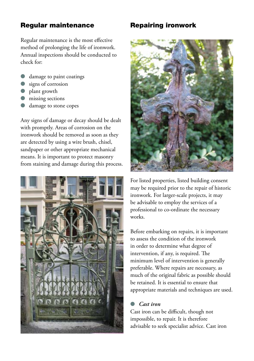### Regular maintenance

Regular maintenance is the most effective method of prolonging the life of ironwork. Annual inspections should be conducted to check for:

- damage to paint coatings
- signs of corrosion
- plant growth
- missing sections
- damage to stone copes

Any signs of damage or decay should be dealt with promptly. Areas of corrosion on the ironwork should be removed as soon as they are detected by using a wire brush, chisel, sandpaper or other appropriate mechanical means. It is important to protect masonry from staining and damage during this process.



## Repairing ironwork



For listed properties, listed building consent may be required prior to the repair of historic ironwork. For larger-scale projects, it may be advisable to employ the services of a professional to co-ordinate the necessary works.

Before embarking on repairs, it is important to assess the condition of the ironwork in order to determine what degree of intervention, if any, is required. The minimum level of intervention is generally preferable. Where repairs are necessary, as much of the original fabric as possible should be retained. It is essential to ensure that appropriate materials and techniques are used.

### l *Cast iron*

Cast iron can be difficult, though not impossible, to repair. It is therefore advisable to seek specialist advice. Cast iron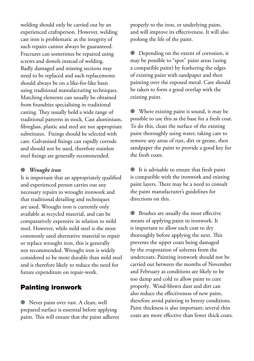welding should only be carried out by an experienced craftsperson. However, welding cast iron is problematic as the integrity of such repairs cannot always be guaranteed. Fractures can sometimes be repaired using screws and dowels instead of welding. Badly damaged and missing sections may need to be replaced and such replacements should always be on a like-for-like basis using traditional manufacturing techniques. Matching elements can usually be obtained from foundries specialising in traditional casting. They usually hold a wide range of traditional patterns in stock. Cast aluminium, fibreglass, plastic and steel are not appropriate substitutes. Fixings should be selected with care. Galvanised fixings can rapidly corrode and should not be used, therefore stainless steel fixings are generally recommended.

#### l *Wrought iron*

It is important that an appropriately qualified and experienced person carries out any necessary repairs to wrought ironwork and that traditional detailing and techniques are used. Wrought iron is currently only available as recycled material, and can be comparatively expensive in relation to mild steel. However, while mild steel is the most commonly used alternative material to repair or replace wrought iron, this is generally not recommended. Wrought iron is widely considered to be more durable than mild steel and is therefore likely to reduce the need for future expenditure on repair-work.

### Painting ironwork

l Never paint over rust. A clean, well prepared surface is essential before applying paint. This will ensure that the paint adheres properly to the iron, or underlying paint, and will improve its effectiveness. It will also prolong the life of the paint.

Depending on the extent of corrosion, it may be possible to "spot" paint areas (using a compatible paint) by feathering the edges of existing paint with sandpaper and then painting over the exposed metal. Care should be taken to form a good overlap with the existing paint.

l Where existing paint is sound, it may be possible to use this as the base for a fresh coat. To do this, clean the surface of the existing paint thoroughly using water, taking care to remove any areas of rust, dirt or grease, then sandpaper the paint to provide a good key for the fresh coats.

l It is advisable to ensure that fresh paint is compatible with the ironwork and existing paint layers. There may be a need to consult the paint manufacturer's guidelines for directions on this.

**IDE Brushes are usually the most effective** means of applying paint to ironwork. It is important to allow each coat to dry thoroughly before applying the next. This prevents the upper coats being damaged by the evaporation of solvents from the undercoats. Painting ironwork should not be carried out between the months of November and February as conditions are likely to be too damp and cold to allow paint to cure properly. Wind-blown dust and dirt can also reduce the effectiveness of new paint, therefore avoid painting in breezy conditions. Paint thickness is also important; several thin coats are more effective than fewer thick coats.